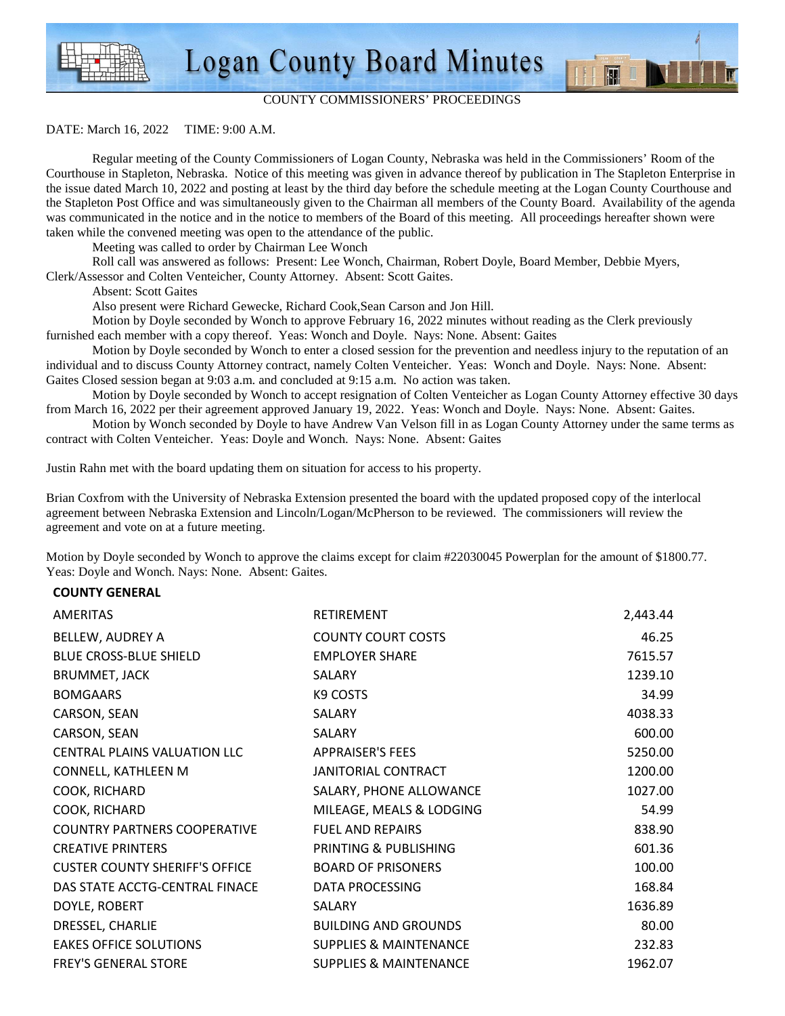### COUNTY COMMISSIONERS' PROCEEDINGS

M

#### DATE: March 16, 2022 TIME: 9:00 A.M.

 Regular meeting of the County Commissioners of Logan County, Nebraska was held in the Commissioners' Room of the Courthouse in Stapleton, Nebraska. Notice of this meeting was given in advance thereof by publication in The Stapleton Enterprise in the issue dated March 10, 2022 and posting at least by the third day before the schedule meeting at the Logan County Courthouse and the Stapleton Post Office and was simultaneously given to the Chairman all members of the County Board. Availability of the agenda was communicated in the notice and in the notice to members of the Board of this meeting. All proceedings hereafter shown were taken while the convened meeting was open to the attendance of the public.

Meeting was called to order by Chairman Lee Wonch

Roll call was answered as follows: Present: Lee Wonch, Chairman, Robert Doyle, Board Member, Debbie Myers,

Clerk/Assessor and Colten Venteicher, County Attorney. Absent: Scott Gaites.

Absent: Scott Gaites

Also present were Richard Gewecke, Richard Cook,Sean Carson and Jon Hill.

 Motion by Doyle seconded by Wonch to approve February 16, 2022 minutes without reading as the Clerk previously furnished each member with a copy thereof. Yeas: Wonch and Doyle. Nays: None. Absent: Gaites

 Motion by Doyle seconded by Wonch to enter a closed session for the prevention and needless injury to the reputation of an individual and to discuss County Attorney contract, namely Colten Venteicher. Yeas: Wonch and Doyle. Nays: None. Absent: Gaites Closed session began at 9:03 a.m. and concluded at 9:15 a.m. No action was taken.

 Motion by Doyle seconded by Wonch to accept resignation of Colten Venteicher as Logan County Attorney effective 30 days from March 16, 2022 per their agreement approved January 19, 2022. Yeas: Wonch and Doyle. Nays: None. Absent: Gaites.

 Motion by Wonch seconded by Doyle to have Andrew Van Velson fill in as Logan County Attorney under the same terms as contract with Colten Venteicher. Yeas: Doyle and Wonch. Nays: None. Absent: Gaites

Justin Rahn met with the board updating them on situation for access to his property.

Brian Coxfrom with the University of Nebraska Extension presented the board with the updated proposed copy of the interlocal agreement between Nebraska Extension and Lincoln/Logan/McPherson to be reviewed. The commissioners will review the agreement and vote on at a future meeting.

Motion by Doyle seconded by Wonch to approve the claims except for claim #22030045 Powerplan for the amount of \$1800.77. Yeas: Doyle and Wonch. Nays: None. Absent: Gaites.

#### **COUNTY GENERAL**

| <b>AMERITAS</b>                       | <b>RETIREMENT</b>                 | 2,443.44 |
|---------------------------------------|-----------------------------------|----------|
| BELLEW, AUDREY A                      | <b>COUNTY COURT COSTS</b>         | 46.25    |
| <b>BLUE CROSS-BLUE SHIELD</b>         | <b>EMPLOYER SHARE</b>             | 7615.57  |
| <b>BRUMMET, JACK</b>                  | SALARY                            | 1239.10  |
| <b>BOMGAARS</b>                       | K9 COSTS                          | 34.99    |
| CARSON, SEAN                          | SALARY                            | 4038.33  |
| CARSON, SEAN                          | SALARY                            | 600.00   |
| CENTRAL PLAINS VALUATION LLC          | <b>APPRAISER'S FEES</b>           | 5250.00  |
| CONNELL, KATHLEEN M                   | <b>JANITORIAL CONTRACT</b>        | 1200.00  |
| COOK, RICHARD                         | SALARY, PHONE ALLOWANCE           | 1027.00  |
| COOK, RICHARD                         | MILEAGE, MEALS & LODGING          | 54.99    |
| <b>COUNTRY PARTNERS COOPERATIVE</b>   | <b>FUEL AND REPAIRS</b>           | 838.90   |
| <b>CREATIVE PRINTERS</b>              | PRINTING & PUBLISHING             | 601.36   |
| <b>CUSTER COUNTY SHERIFF'S OFFICE</b> | <b>BOARD OF PRISONERS</b>         | 100.00   |
| DAS STATE ACCTG-CENTRAL FINACE        | DATA PROCESSING                   | 168.84   |
| DOYLE, ROBERT                         | SALARY                            | 1636.89  |
| DRESSEL, CHARLIE                      | <b>BUILDING AND GROUNDS</b>       | 80.00    |
| <b>EAKES OFFICE SOLUTIONS</b>         | <b>SUPPLIES &amp; MAINTENANCE</b> | 232.83   |
| <b>FREY'S GENERAL STORE</b>           | <b>SUPPLIES &amp; MAINTENANCE</b> | 1962.07  |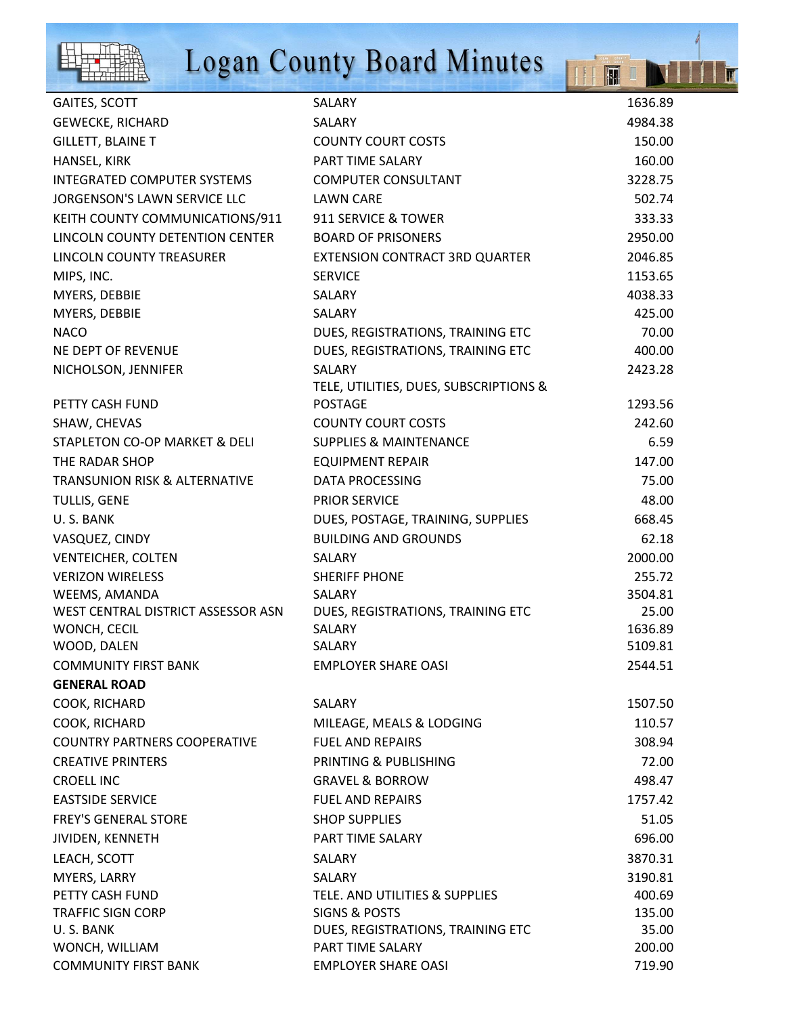

# **Logan County Board Minutes**

IIII

IT

| GAITES, SCOTT                            | SALARY                                 | 1636.89 |
|------------------------------------------|----------------------------------------|---------|
| <b>GEWECKE, RICHARD</b>                  | SALARY                                 | 4984.38 |
| <b>GILLETT, BLAINE T</b>                 | <b>COUNTY COURT COSTS</b>              | 150.00  |
| HANSEL, KIRK                             | PART TIME SALARY                       | 160.00  |
| <b>INTEGRATED COMPUTER SYSTEMS</b>       | <b>COMPUTER CONSULTANT</b>             | 3228.75 |
| JORGENSON'S LAWN SERVICE LLC             | <b>LAWN CARE</b>                       | 502.74  |
| KEITH COUNTY COMMUNICATIONS/911          | 911 SERVICE & TOWER                    | 333.33  |
| LINCOLN COUNTY DETENTION CENTER          | <b>BOARD OF PRISONERS</b>              | 2950.00 |
| LINCOLN COUNTY TREASURER                 | EXTENSION CONTRACT 3RD QUARTER         | 2046.85 |
| MIPS, INC.                               | <b>SERVICE</b>                         | 1153.65 |
| MYERS, DEBBIE                            | SALARY                                 | 4038.33 |
| MYERS, DEBBIE                            | SALARY                                 | 425.00  |
| <b>NACO</b>                              | DUES, REGISTRATIONS, TRAINING ETC      | 70.00   |
| NE DEPT OF REVENUE                       | DUES, REGISTRATIONS, TRAINING ETC      | 400.00  |
| NICHOLSON, JENNIFER                      | SALARY                                 | 2423.28 |
|                                          | TELE, UTILITIES, DUES, SUBSCRIPTIONS & |         |
| PETTY CASH FUND                          | <b>POSTAGE</b>                         | 1293.56 |
| SHAW, CHEVAS                             | <b>COUNTY COURT COSTS</b>              | 242.60  |
| STAPLETON CO-OP MARKET & DELI            | <b>SUPPLIES &amp; MAINTENANCE</b>      | 6.59    |
| THE RADAR SHOP                           | <b>EQUIPMENT REPAIR</b>                | 147.00  |
| <b>TRANSUNION RISK &amp; ALTERNATIVE</b> | <b>DATA PROCESSING</b>                 | 75.00   |
| TULLIS, GENE                             | <b>PRIOR SERVICE</b>                   | 48.00   |
| U.S. BANK                                | DUES, POSTAGE, TRAINING, SUPPLIES      | 668.45  |
| VASQUEZ, CINDY                           | <b>BUILDING AND GROUNDS</b>            | 62.18   |
| <b>VENTEICHER, COLTEN</b>                | SALARY                                 | 2000.00 |
| <b>VERIZON WIRELESS</b>                  | <b>SHERIFF PHONE</b>                   | 255.72  |
| WEEMS, AMANDA                            | SALARY                                 | 3504.81 |
| WEST CENTRAL DISTRICT ASSESSOR ASN       | DUES, REGISTRATIONS, TRAINING ETC      | 25.00   |
| WONCH, CECIL                             | SALARY                                 | 1636.89 |
| WOOD, DALEN                              | SALARY                                 | 5109.81 |
| <b>COMMUNITY FIRST BANK</b>              | <b>EMPLOYER SHARE OASI</b>             | 2544.51 |
| <b>GENERAL ROAD</b>                      |                                        |         |
| COOK, RICHARD                            | SALARY                                 | 1507.50 |
| COOK, RICHARD                            | MILEAGE, MEALS & LODGING               | 110.57  |
| <b>COUNTRY PARTNERS COOPERATIVE</b>      | <b>FUEL AND REPAIRS</b>                | 308.94  |
| <b>CREATIVE PRINTERS</b>                 | PRINTING & PUBLISHING                  | 72.00   |
| <b>CROELL INC</b>                        | <b>GRAVEL &amp; BORROW</b>             | 498.47  |
| <b>EASTSIDE SERVICE</b>                  | <b>FUEL AND REPAIRS</b>                | 1757.42 |
| <b>FREY'S GENERAL STORE</b>              | <b>SHOP SUPPLIES</b>                   | 51.05   |
| JIVIDEN, KENNETH                         | PART TIME SALARY                       | 696.00  |
| LEACH, SCOTT                             | <b>SALARY</b>                          | 3870.31 |
| MYERS, LARRY                             | SALARY                                 | 3190.81 |
| PETTY CASH FUND                          | TELE. AND UTILITIES & SUPPLIES         | 400.69  |
| <b>TRAFFIC SIGN CORP</b>                 | <b>SIGNS &amp; POSTS</b>               | 135.00  |
| U.S. BANK                                | DUES, REGISTRATIONS, TRAINING ETC      | 35.00   |
| WONCH, WILLIAM                           | PART TIME SALARY                       | 200.00  |
| <b>COMMUNITY FIRST BANK</b>              | <b>EMPLOYER SHARE OASI</b>             | 719.90  |